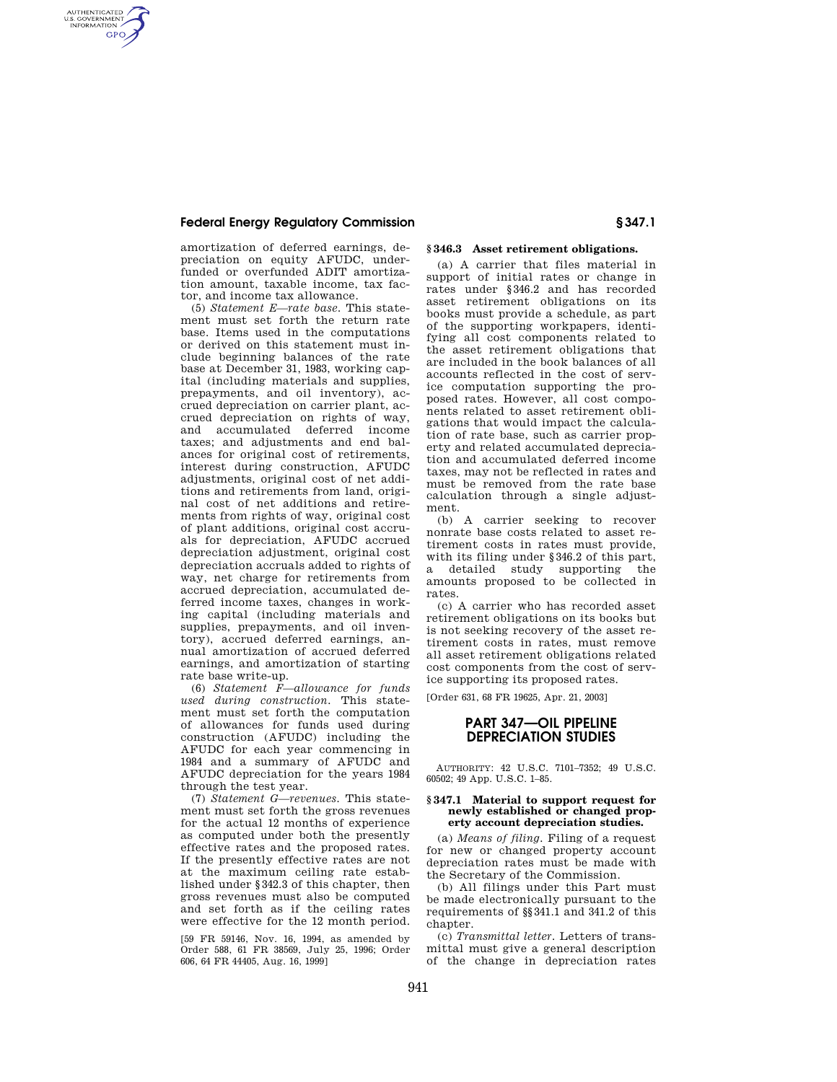## **Federal Energy Regulatory Commission § 347.1**

AUTHENTICATED<br>U.S. GOVERNMENT<br>INFORMATION **GPO** 

> amortization of deferred earnings, depreciation on equity AFUDC, underfunded or overfunded ADIT amortization amount, taxable income, tax factor, and income tax allowance.

> (5) *Statement E—rate base.* This statement must set forth the return rate base. Items used in the computations or derived on this statement must include beginning balances of the rate base at December 31, 1983, working capital (including materials and supplies, prepayments, and oil inventory), accrued depreciation on carrier plant, accrued depreciation on rights of way, and accumulated deferred income taxes; and adjustments and end balances for original cost of retirements, interest during construction, AFUDC adjustments, original cost of net additions and retirements from land, original cost of net additions and retirements from rights of way, original cost of plant additions, original cost accruals for depreciation, AFUDC accrued depreciation adjustment, original cost depreciation accruals added to rights of way, net charge for retirements from accrued depreciation, accumulated deferred income taxes, changes in working capital (including materials and supplies, prepayments, and oil inventory), accrued deferred earnings, annual amortization of accrued deferred earnings, and amortization of starting rate base write-up.

(6) *Statement F—allowance for funds used during construction.* This statement must set forth the computation of allowances for funds used during construction (AFUDC) including the AFUDC for each year commencing in 1984 and a summary of AFUDC and AFUDC depreciation for the years 1984 through the test year.

(7) *Statement G—revenues.* This statement must set forth the gross revenues for the actual 12 months of experience as computed under both the presently effective rates and the proposed rates. If the presently effective rates are not at the maximum ceiling rate established under §342.3 of this chapter, then gross revenues must also be computed and set forth as if the ceiling rates were effective for the 12 month period.

[59 FR 59146, Nov. 16, 1994, as amended by Order 588, 61 FR 38569, July 25, 1996; Order 606, 64 FR 44405, Aug. 16, 1999]

## **§ 346.3 Asset retirement obligations.**

(a) A carrier that files material in support of initial rates or change in rates under §346.2 and has recorded asset retirement obligations on its books must provide a schedule, as part of the supporting workpapers, identifying all cost components related to the asset retirement obligations that are included in the book balances of all accounts reflected in the cost of service computation supporting the proposed rates. However, all cost components related to asset retirement obligations that would impact the calculation of rate base, such as carrier property and related accumulated depreciation and accumulated deferred income taxes, may not be reflected in rates and must be removed from the rate base calculation through a single adjustment.

(b) A carrier seeking to recover nonrate base costs related to asset retirement costs in rates must provide, with its filing under §346.2 of this part, a detailed study supporting the amounts proposed to be collected in rates.

(c) A carrier who has recorded asset retirement obligations on its books but is not seeking recovery of the asset retirement costs in rates, must remove all asset retirement obligations related cost components from the cost of service supporting its proposed rates.

[Order 631, 68 FR 19625, Apr. 21, 2003]

# **PART 347—OIL PIPELINE DEPRECIATION STUDIES**

AUTHORITY: 42 U.S.C. 7101–7352; 49 U.S.C. 60502; 49 App. U.S.C. 1–85.

#### **§ 347.1 Material to support request for newly established or changed property account depreciation studies.**

(a) *Means of filing.* Filing of a request for new or changed property account depreciation rates must be made with the Secretary of the Commission.

(b) All filings under this Part must be made electronically pursuant to the requirements of §§341.1 and 341.2 of this chapter.

(c) *Transmittal letter.* Letters of transmittal must give a general description of the change in depreciation rates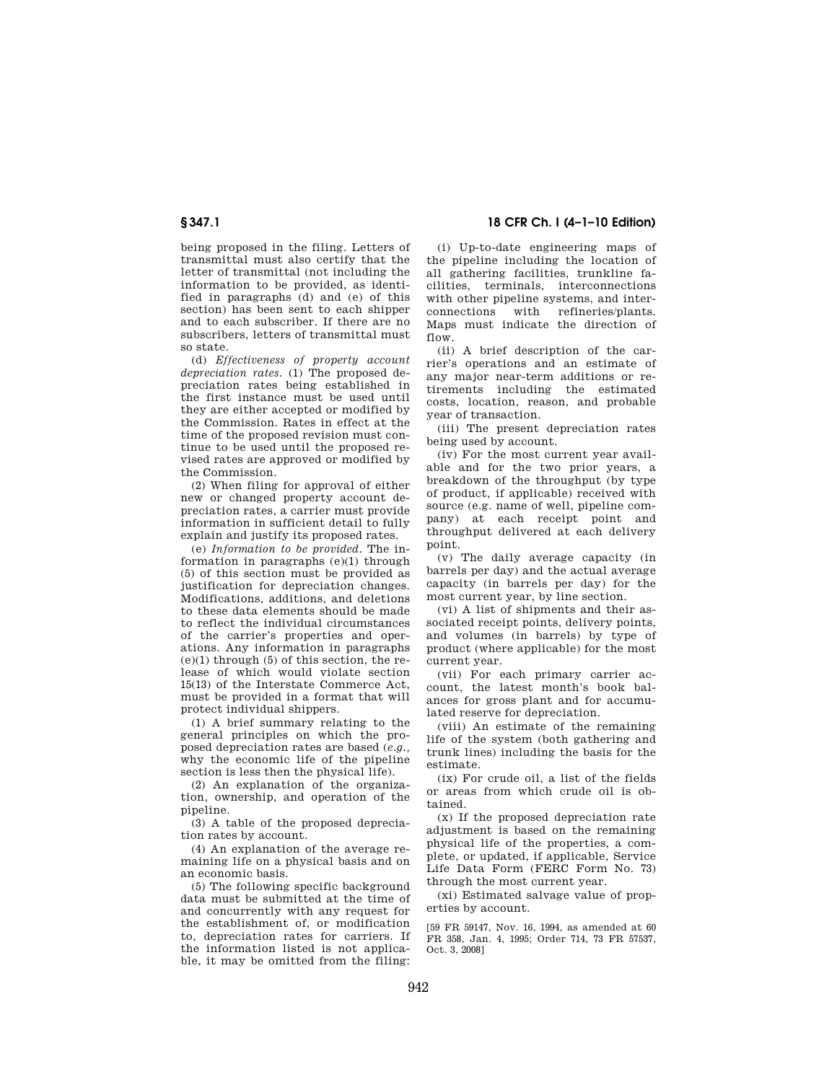being proposed in the filing. Letters of transmittal must also certify that the letter of transmittal (not including the information to be provided, as identified in paragraphs (d) and (e) of this section) has been sent to each shipper and to each subscriber. If there are no subscribers, letters of transmittal must so state.

(d) *Effectiveness of property account depreciation rates.* (1) The proposed depreciation rates being established in the first instance must be used until they are either accepted or modified by the Commission. Rates in effect at the time of the proposed revision must continue to be used until the proposed revised rates are approved or modified by the Commission.

(2) When filing for approval of either new or changed property account depreciation rates, a carrier must provide information in sufficient detail to fully explain and justify its proposed rates.

(e) *Information to be provided.* The information in paragraphs (e)(1) through (5) of this section must be provided as justification for depreciation changes. Modifications, additions, and deletions to these data elements should be made to reflect the individual circumstances of the carrier's properties and operations. Any information in paragraphs  $(e)(1)$  through  $(5)$  of this section, the release of which would violate section 15(13) of the Interstate Commerce Act, must be provided in a format that will protect individual shippers.

(1) A brief summary relating to the general principles on which the proposed depreciation rates are based (*e.g.,*  why the economic life of the pipeline section is less then the physical life).

(2) An explanation of the organization, ownership, and operation of the pipeline.

(3) A table of the proposed depreciation rates by account.

(4) An explanation of the average remaining life on a physical basis and on an economic basis.

(5) The following specific background data must be submitted at the time of and concurrently with any request for the establishment of, or modification to, depreciation rates for carriers. If the information listed is not applicable, it may be omitted from the filing:

**§ 347.1 18 CFR Ch. I (4–1–10 Edition)** 

(i) Up-to-date engineering maps of the pipeline including the location of all gathering facilities, trunkline facilities, terminals, interconnections with other pipeline systems, and interconnections with refineries/plants. Maps must indicate the direction of flow

(ii) A brief description of the carrier's operations and an estimate of any major near-term additions or retirements including the estimated costs, location, reason, and probable year of transaction.

(iii) The present depreciation rates being used by account.

(iv) For the most current year available and for the two prior years, a breakdown of the throughput (by type of product, if applicable) received with source (e.g. name of well, pipeline company) at each receipt point and throughput delivered at each delivery point.

(v) The daily average capacity (in barrels per day) and the actual average capacity (in barrels per day) for the most current year, by line section.

(vi) A list of shipments and their associated receipt points, delivery points, and volumes (in barrels) by type of product (where applicable) for the most current year.

(vii) For each primary carrier account, the latest month's book balances for gross plant and for accumulated reserve for depreciation.

(viii) An estimate of the remaining life of the system (both gathering and trunk lines) including the basis for the estimate.

(ix) For crude oil, a list of the fields or areas from which crude oil is obtained.

(x) If the proposed depreciation rate adjustment is based on the remaining physical life of the properties, a complete, or updated, if applicable, Service Life Data Form (FERC Form No. 73) through the most current year.

(xi) Estimated salvage value of properties by account.

[59 FR 59147, Nov. 16, 1994, as amended at 60 FR 358, Jan. 4, 1995; Order 714, 73 FR 57537, Oct. 3, 2008]